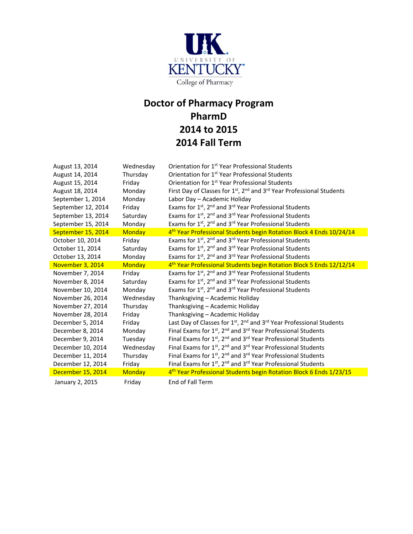

## **Doctor of Pharmacy Program PharmD 2014 to 2015 Week 2014 Fall Term**

| August 13, 2014    | Wednesday     | Orientation for 1 <sup>st</sup> Year Professional Students                                                |
|--------------------|---------------|-----------------------------------------------------------------------------------------------------------|
| August 14, 2014    | Thursday      | Orientation for 1 <sup>st</sup> Year Professional Students                                                |
| August 15, 2014    | Friday        | Orientation for 1 <sup>st</sup> Year Professional Students                                                |
| August 18, 2014    | Monday        | First Day of Classes for 1 <sup>st</sup> , 2 <sup>nd</sup> and 3 <sup>rd</sup> Year Professional Students |
| September 1, 2014  | Monday        | Labor Day - Academic Holiday                                                                              |
| September 12, 2014 | Friday        | Exams for 1st, 2nd and 3rd Year Professional Students                                                     |
| September 13, 2014 | Saturday      | Exams for 1 <sup>st</sup> , 2 <sup>nd</sup> and 3 <sup>rd</sup> Year Professional Students                |
| September 15, 2014 | Monday        | Exams for 1 <sup>st</sup> , 2 <sup>nd</sup> and 3 <sup>rd</sup> Year Professional Students                |
| September 15, 2014 | <b>Monday</b> | 4 <sup>th</sup> Year Professional Students begin Rotation Block 4 Ends 10/24/14                           |
| October 10, 2014   | Friday        | Exams for 1 <sup>st</sup> , 2 <sup>nd</sup> and 3 <sup>rd</sup> Year Professional Students                |
| October 11, 2014   | Saturday      | Exams for 1 <sup>st</sup> , 2 <sup>nd</sup> and 3 <sup>rd</sup> Year Professional Students                |
| October 13, 2014   | Monday        | Exams for 1 <sup>st</sup> , 2 <sup>nd</sup> and 3 <sup>rd</sup> Year Professional Students                |
| November 3, 2014   | Monday        | 4 <sup>th</sup> Year Professional Students begin Rotation Block 5 Ends 12/12/14                           |
| November 7, 2014   | Friday        | Exams for 1 <sup>st</sup> , 2 <sup>nd</sup> and 3 <sup>rd</sup> Year Professional Students                |
| November 8, 2014   | Saturday      | Exams for 1st, 2 <sup>nd</sup> and 3 <sup>rd</sup> Year Professional Students                             |
| November 10, 2014  | Monday        | Exams for 1 <sup>st</sup> , 2 <sup>nd</sup> and 3 <sup>rd</sup> Year Professional Students                |
| November 26, 2014  | Wednesday     | Thanksgiving - Academic Holiday                                                                           |
| November 27, 2014  | Thursday      | Thanksgiving - Academic Holiday                                                                           |
| November 28, 2014  | Friday        | Thanksgiving - Academic Holiday                                                                           |
| December 5, 2014   | Friday        | Last Day of Classes for 1 <sup>st</sup> , 2 <sup>nd</sup> and 3 <sup>rd</sup> Year Professional Students  |
| December 8, 2014   | Monday        | Final Exams for 1st, 2 <sup>nd</sup> and 3 <sup>rd</sup> Year Professional Students                       |
| December 9, 2014   | Tuesday       | Final Exams for 1st, 2 <sup>nd</sup> and 3 <sup>rd</sup> Year Professional Students                       |
| December 10, 2014  | Wednesday     | Final Exams for $1st$ , $2nd$ and $3rd$ Year Professional Students                                        |
| December 11, 2014  | Thursday      | Final Exams for $1st$ , $2nd$ and $3rd$ Year Professional Students                                        |
| December 12, 2014  | Friday        | Final Exams for 1st, 2 <sup>nd</sup> and 3 <sup>rd</sup> Year Professional Students                       |
| December 15, 2014  | <b>Monday</b> | 4 <sup>th</sup> Year Professional Students begin Rotation Block 6 Ends 1/23/15                            |
| January 2, 2015    | Friday        | End of Fall Term                                                                                          |